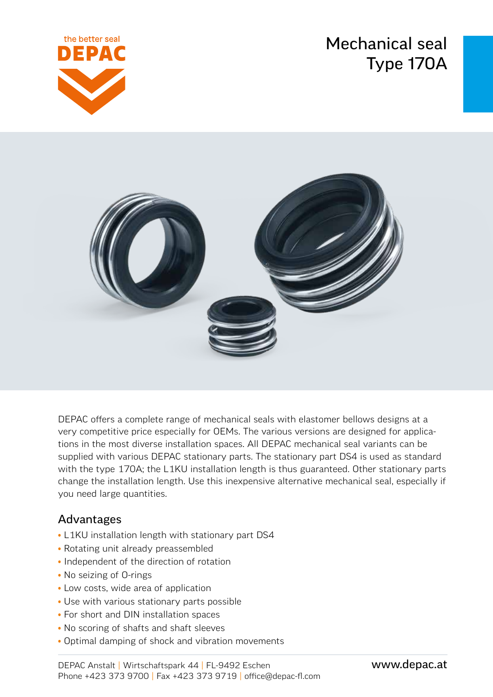# Mechanical seal Type 170A





DEPAC offers a complete range of mechanical seals with elastomer bellows designs at a very competitive price especially for OEMs. The various versions are designed for applications in the most diverse installation spaces. All DEPAC mechanical seal variants can be supplied with various DEPAC stationary parts. The stationary part DS4 is used as standard with the type 170A; the L1KU installation length is thus guaranteed. Other stationary parts change the installation length. Use this inexpensive alternative mechanical seal, especially if you need large quantities.

### Advantages

- L1KU installation length with stationary part DS4
- Rotating unit already preassembled
- Independent of the direction of rotation
- No seizing of O-rings
- Low costs, wide area of application
- Use with various stationary parts possible
- For short and DIN installation spaces
- No scoring of shafts and shaft sleeves
- Optimal damping of shock and vibration movements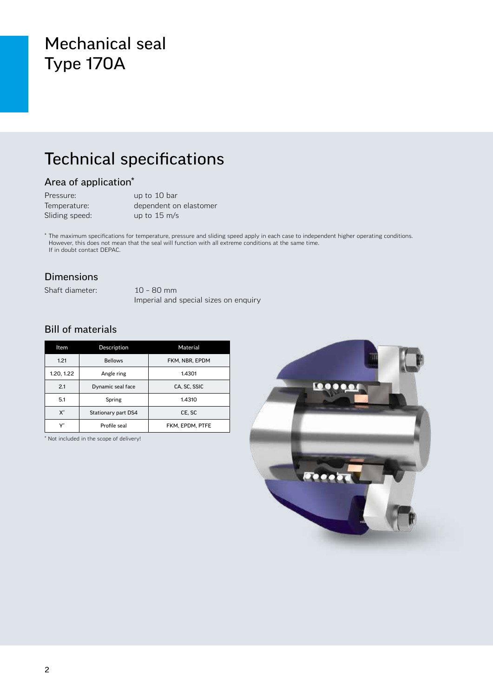## Mechanical seal Type 170A

## Technical specifications

### Area of application\*

| Pressure:      | up to 10 bar           |
|----------------|------------------------|
| Temperature:   | dependent on elastomer |
| Sliding speed: | up to $15 \text{ m/s}$ |

\* The maximum specifications for temperature, pressure and sliding speed apply in each case to independent higher operating conditions. However, this does not mean that the seal will function with all extreme conditions at the same time. If in doubt contact DEPAC.

#### Dimensions

Shaft diameter: 10 – 80 mm

Imperial and special sizes on enquiry

### Bill of materials

| Item               | Description         | Material        |  |  |
|--------------------|---------------------|-----------------|--|--|
| 1.21               | <b>Bellows</b>      | FKM. NBR. EPDM  |  |  |
| 1.20, 1.22         | Angle ring          | 1.4301          |  |  |
| 2.1                | Dynamic seal face   | CA. SC. SSIC    |  |  |
| 5.1                | Spring              | 1.4310          |  |  |
| $\mathsf{X}^\star$ | Stationary part DS4 | CE, SC          |  |  |
|                    | Profile seal        | FKM. EPDM. PTFE |  |  |

\* Not included in the scope of delivery!

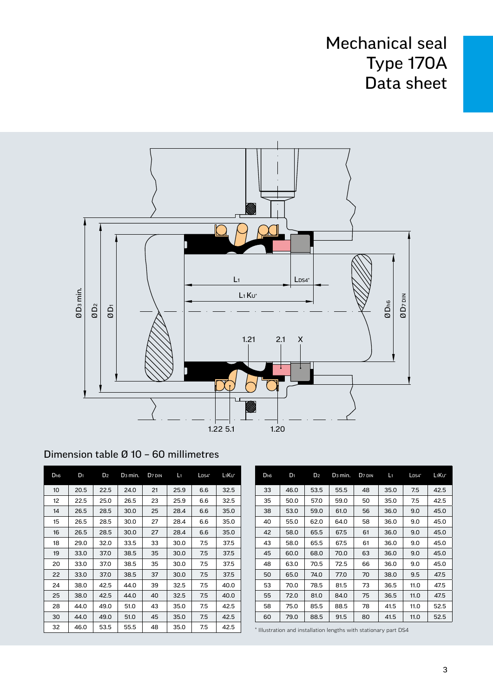## Mechanical seal Type 170A Data sheet



| D <sub>h6</sub> | D <sub>1</sub> | D <sub>2</sub> | D <sub>3</sub> min. | D <sub>7</sub> DIN | L1   | $L$ <sub>DS4</sub> $*$ | L <sub>1</sub> Ku* |
|-----------------|----------------|----------------|---------------------|--------------------|------|------------------------|--------------------|
| 10              | 20.5           | 22.5           | 24.0                | 21                 | 25.9 | 6.6                    | 32.5               |
| 12              | 22.5           | 25.0           | 26.5                | 23                 | 25.9 | 6.6                    | 32.5               |
| 14              | 26.5           | 28.5           | 30.0                | 25                 | 28.4 | 6.6                    | 35.0               |
| 15              | 26.5           | 28.5           | 30.0                | 27                 | 28.4 | 6.6                    | 35.0               |
| 16              | 26.5           | 28.5           | 30.0                | 27                 | 28.4 | 6.6                    | 35.0               |
| 18              | 29.0           | 32.0           | 33.5                | 33                 | 30.0 | 7.5                    | 37.5               |
| 19              | 33.0           | 37.0           | 38.5                | 35                 | 30.0 | 7.5                    | 37.5               |
| 20              | 33.0           | 37.0           | 38.5                | 35                 | 30.0 | 7.5                    | 37.5               |
| 22              | 33.0           | 37.0           | 38.5                | 37                 | 30.0 | 7.5                    | 37.5               |
| 24              | 38.0           | 42.5           | 44.0                | 39                 | 32.5 | 7.5                    | 40.0               |
| 25              | 38.0           | 42.5           | 44.0                | 40                 | 32.5 | 7.5                    | 40.0               |
| 28              | 44.0           | 49.0           | 51.0                | 43                 | 35.0 | 7.5                    | 42.5               |
| 30              | 44.0           | 49.0           | 51.0                | 45                 | 35.0 | 7.5                    | 42.5               |
| 32              | 46.0           | 53.5           | 55.5                | 48                 | 35.0 | 7.5                    | 42.5               |

| D <sub>h6</sub> | $D_1$ | D <sub>2</sub> | D <sub>3</sub> min. | D <sub>7</sub> DIN | Lı   | $LDS4*$ | L <sub>1</sub> Ku* |
|-----------------|-------|----------------|---------------------|--------------------|------|---------|--------------------|
| 33              | 46.0  | 53.5           | 55.5                | 48                 | 35.0 | 7.5     | 42.5               |
| 35              | 50.0  | 57.0           | 59.0                | 50                 | 35.0 | 7.5     | 42.5               |
| 38              | 53.0  | 59.0           | 61.0                | 56                 | 36.0 | 9.0     | 45.0               |
| 40              | 55.0  | 62.0           | 64.0                | 58                 | 36.0 | 9.0     | 45.0               |
| 42              | 58.0  | 65.5           | 67.5                | 61                 | 36.0 | 9.0     | 45.0               |
| 43              | 58.0  | 65.5           | 67.5                | 61                 | 36.0 | 9.0     | 45.0               |
| 45              | 60.0  | 68.0           | 70.0                | 63                 | 36.0 | 9.0     | 45.0               |
| 48              | 63.0  | 70.5           | 72.5                | 66                 | 36.0 | 9.0     | 45.0               |
| 50              | 65.0  | 74.0           | 77.0                | 70                 | 38.0 | 9.5     | 47.5               |
| 53              | 70.0  | 78.5           | 81.5                | 73                 | 36.5 | 11.0    | 47.5               |
| 55              | 72.0  | 81.0           | 84.0                | 75                 | 36.5 | 11.0    | 47.5               |
| 58              | 75.0  | 85.5           | 88.5                | 78                 | 41.5 | 11.0    | 52.5               |
| 60              | 79.0  | 88.5           | 91.5                | 80                 | 41.5 | 11.0    | 52.5               |
|                 |       |                |                     |                    |      |         |                    |

\* Illustration and installation lengths with stationary part DS4

### Dimension table Ø 10 – 60 millimetres